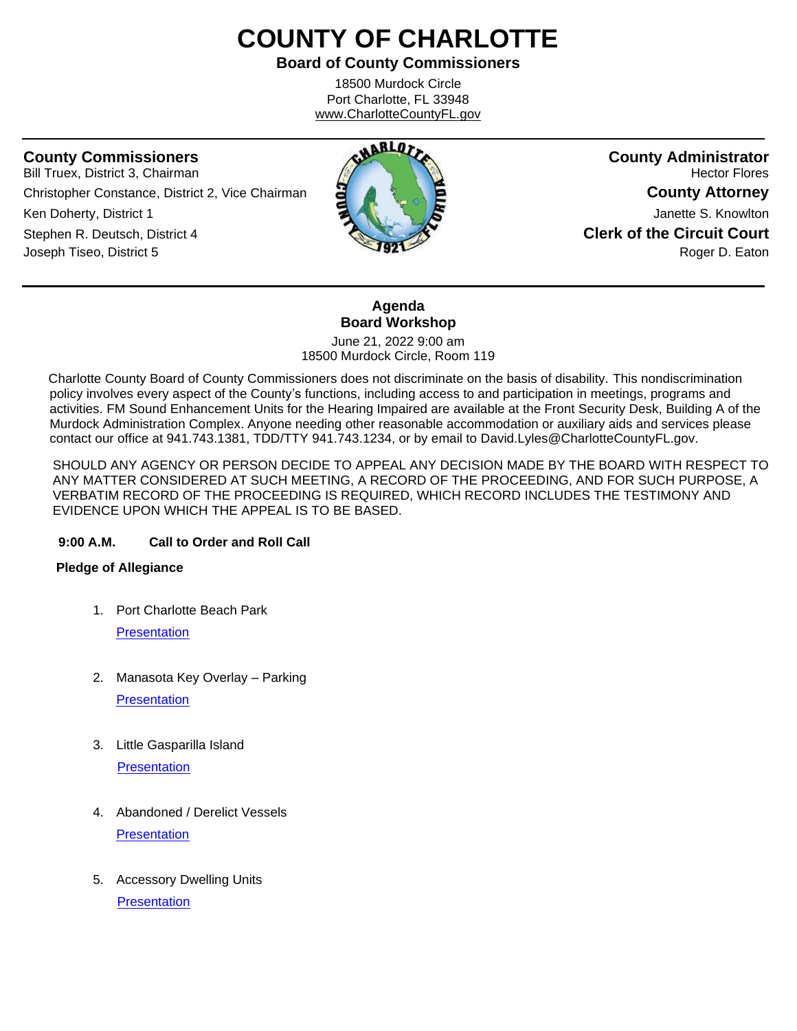# **COUNTY OF CHARLOTTE**

**Board of County Commissioners**

18500 Murdock Circle Port Charlotte, FL 33948 www.CharlotteCountyFL.gov

ֺֺ

Bill Truex, District 3, Chairman **Hector Flores Hector Flores Hector Flores Hector Flores** Christopher Constance, District 2, Vice Chairman **County Attorney Ken Doherty, District 1 County Attorney Attachment Attorney Attorney Attorney Attorney Attorney Janette S. Knowlton** Stephen R. Deutsch, District 4 **Clerk of the Circuit Court** Joseph Tiseo, District 5 **Roger D. Eaton Roger D. Eaton Roger D. Eaton** 



## **Agenda Board Workshop**

June 21, 2022 9:00 am 18500 Murdock Circle, Room 119

 Charlotte County Board of County Commissioners does not discriminate on the basis of disability. This nondiscrimination policy involves every aspect of the County's functions, including access to and participation in meetings, programs and activities. FM Sound Enhancement Units for the Hearing Impaired are available at the Front Security Desk, Building A of the Murdock Administration Complex. Anyone needing other reasonable accommodation or auxiliary aids and services please contact our office at 941.743.1381, TDD/TTY 941.743.1234, or by email to David.Lyles@CharlotteCountyFL.gov.

SHOULD ANY AGENCY OR PERSON DECIDE TO APPEAL ANY DECISION MADE BY THE BOARD WITH RESPECT TO ANY MATTER CONSIDERED AT SUCH MEETING, A RECORD OF THE PROCEEDING, AND FOR SUCH PURPOSE, A VERBATIM RECORD OF THE PROCEEDING IS REQUIRED, WHICH RECORD INCLUDES THE TESTIMONY AND EVIDENCE UPON WHICH THE APPEAL IS TO BE BASED.

### **9:00 A.M. Call to Order and Roll Call**

### **Pledge of Allegiance**

1. Port Charlotte Beach Park

**[Presentation](https://data.charlottecountyfl.gov/agenda/20220621/1.pdf)** 

- 2. Manasota Key Overlay Parking **[Presentation](https://data.charlottecountyfl.gov/agenda/20220621/2.pdf)**
- 3. Little Gasparilla Island **[Presentation](https://data.charlottecountyfl.gov/agenda/20220621/3.pdf)**
- 4. Abandoned / Derelict Vessels **[Presentation](https://data.charlottecountyfl.gov/agenda/20220621/4.pdf)**
- 5. Accessory Dwelling Units **[Presentation](https://data.charlottecountyfl.gov/agenda/20220621/5.pdf)**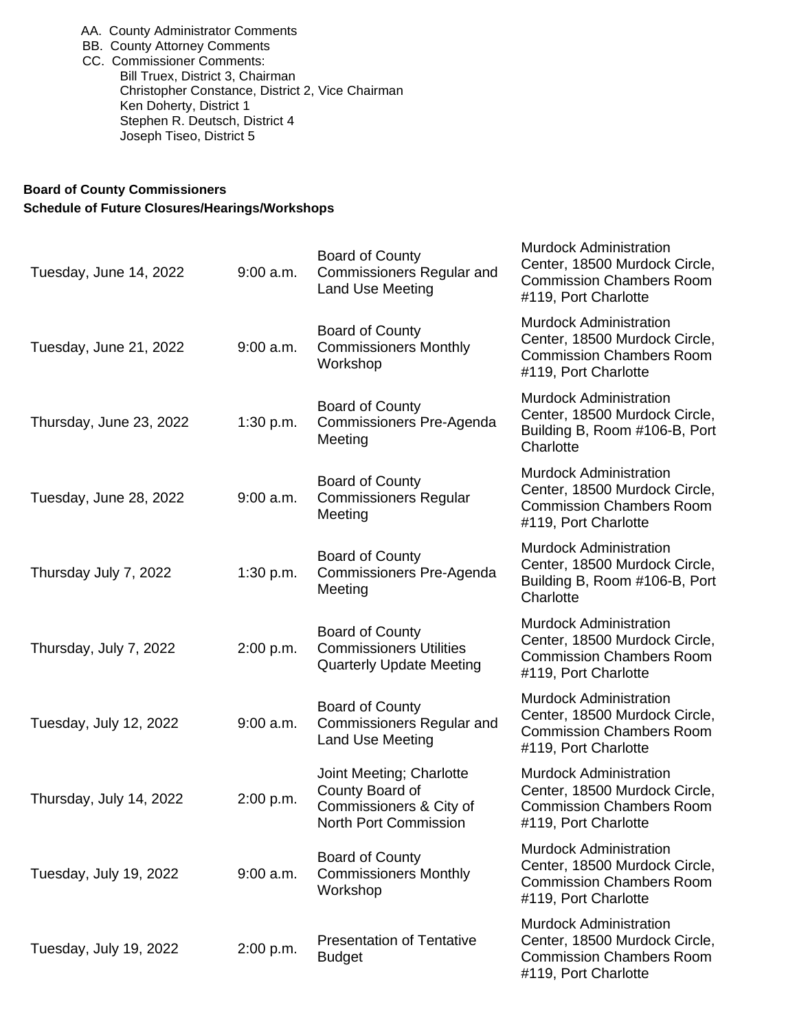AA. County Administrator Comments BB. County Attorney Comments CC. Commissioner Comments: Bill Truex, District 3, Chairman Christopher Constance, District 2, Vice Chairman Ken Doherty, District 1 Stephen R. Deutsch, District 4 Joseph Tiseo, District 5

### **Board of County Commissioners Schedule of Future Closures/Hearings/Workshops**

| Tuesday, June 14, 2022  | $9:00$ a.m. | <b>Board of County</b><br><b>Commissioners Regular and</b><br>Land Use Meeting                  | Murdock Administration<br>Center, 18500 Murdock Circle,<br><b>Commission Chambers Room</b><br>#119, Port Charlotte        |
|-------------------------|-------------|-------------------------------------------------------------------------------------------------|---------------------------------------------------------------------------------------------------------------------------|
| Tuesday, June 21, 2022  | $9:00$ a.m. | <b>Board of County</b><br><b>Commissioners Monthly</b><br>Workshop                              | <b>Murdock Administration</b><br>Center, 18500 Murdock Circle,<br><b>Commission Chambers Room</b><br>#119, Port Charlotte |
| Thursday, June 23, 2022 | 1:30 p.m.   | <b>Board of County</b><br>Commissioners Pre-Agenda<br>Meeting                                   | <b>Murdock Administration</b><br>Center, 18500 Murdock Circle,<br>Building B, Room #106-B, Port<br>Charlotte              |
| Tuesday, June 28, 2022  | $9:00$ a.m. | Board of County<br><b>Commissioners Regular</b><br>Meeting                                      | <b>Murdock Administration</b><br>Center, 18500 Murdock Circle,<br><b>Commission Chambers Room</b><br>#119, Port Charlotte |
| Thursday July 7, 2022   | 1:30 p.m.   | <b>Board of County</b><br>Commissioners Pre-Agenda<br>Meeting                                   | <b>Murdock Administration</b><br>Center, 18500 Murdock Circle,<br>Building B, Room #106-B, Port<br>Charlotte              |
| Thursday, July 7, 2022  | 2:00 p.m.   | <b>Board of County</b><br><b>Commissioners Utilities</b><br><b>Quarterly Update Meeting</b>     | <b>Murdock Administration</b><br>Center, 18500 Murdock Circle,<br><b>Commission Chambers Room</b><br>#119, Port Charlotte |
| Tuesday, July 12, 2022  | $9:00$ a.m. | <b>Board of County</b><br><b>Commissioners Regular and</b><br>Land Use Meeting                  | <b>Murdock Administration</b><br>Center, 18500 Murdock Circle,<br><b>Commission Chambers Room</b><br>#119, Port Charlotte |
| Thursday, July 14, 2022 | 2:00 p.m.   | Joint Meeting; Charlotte<br>County Board of<br>Commissioners & City of<br>North Port Commission | <b>Murdock Administration</b><br>Center, 18500 Murdock Circle,<br><b>Commission Chambers Room</b><br>#119, Port Charlotte |
| Tuesday, July 19, 2022  | $9:00$ a.m. | <b>Board of County</b><br><b>Commissioners Monthly</b><br>Workshop                              | <b>Murdock Administration</b><br>Center, 18500 Murdock Circle,<br><b>Commission Chambers Room</b><br>#119, Port Charlotte |
| Tuesday, July 19, 2022  | 2:00 p.m.   | <b>Presentation of Tentative</b><br><b>Budget</b>                                               | <b>Murdock Administration</b><br>Center, 18500 Murdock Circle,<br><b>Commission Chambers Room</b><br>#119, Port Charlotte |